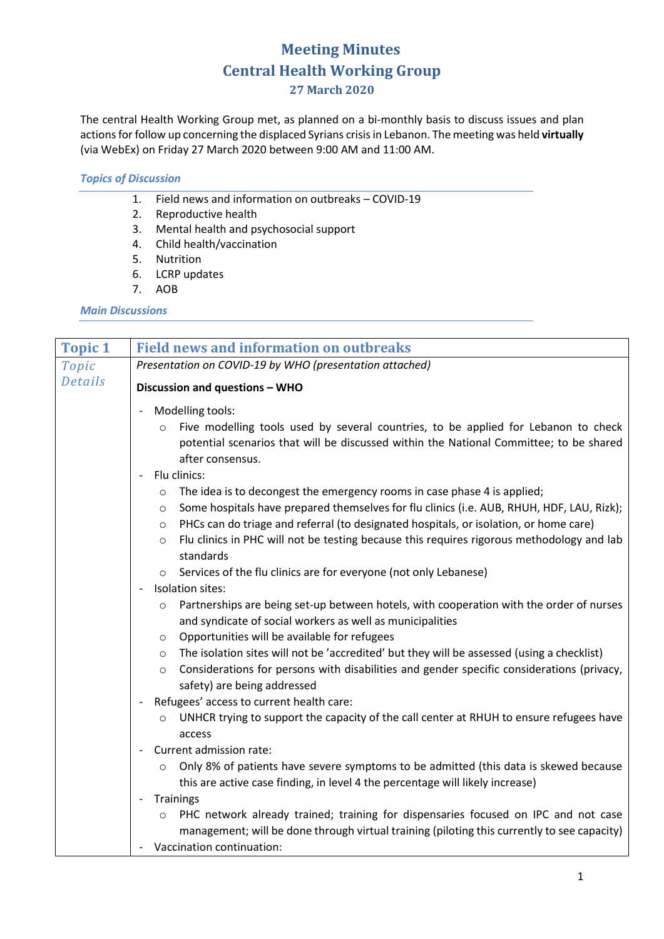## **Meeting Minutes Central Health Working Group 27 March 2020**

The central Health Working Group met, as planned on a bi-monthly basis to discuss issues and plan actions for follow up concerning the displaced Syrians crisisin Lebanon. The meeting was held **virtually** (via WebEx) on Friday 27 March 2020 between 9:00 AM and 11:00 AM.

## *Topics of Discussion*

- 1. Field news and information on outbreaks COVID-19
- 2. Reproductive health
- 3. Mental health and psychosocial support
- 4. Child health/vaccination
- 5. Nutrition
- 6. LCRP updates
- 7. AOB

## *Main Discussions*

| <b>Topic 1</b> | <b>Field news and information on outbreaks</b>                                                                                                                                                                                                                                                  |  |  |  |
|----------------|-------------------------------------------------------------------------------------------------------------------------------------------------------------------------------------------------------------------------------------------------------------------------------------------------|--|--|--|
| Topic          | Presentation on COVID-19 by WHO (presentation attached)                                                                                                                                                                                                                                         |  |  |  |
| <b>Details</b> | Discussion and questions - WHO                                                                                                                                                                                                                                                                  |  |  |  |
|                | Modelling tools:<br>$\overline{\phantom{a}}$                                                                                                                                                                                                                                                    |  |  |  |
|                | Five modelling tools used by several countries, to be applied for Lebanon to check<br>$\circ$<br>potential scenarios that will be discussed within the National Committee; to be shared<br>after consensus.                                                                                     |  |  |  |
|                | Flu clinics:                                                                                                                                                                                                                                                                                    |  |  |  |
|                | The idea is to decongest the emergency rooms in case phase 4 is applied;<br>$\circ$<br>Some hospitals have prepared themselves for flu clinics (i.e. AUB, RHUH, HDF, LAU, Rizk);<br>$\circ$<br>PHCs can do triage and referral (to designated hospitals, or isolation, or home care)<br>$\circ$ |  |  |  |
|                | Flu clinics in PHC will not be testing because this requires rigorous methodology and lab<br>$\circ$<br>standards                                                                                                                                                                               |  |  |  |
|                | Services of the flu clinics are for everyone (not only Lebanese)                                                                                                                                                                                                                                |  |  |  |
|                | Isolation sites:                                                                                                                                                                                                                                                                                |  |  |  |
|                | Partnerships are being set-up between hotels, with cooperation with the order of nurses<br>$\circ$<br>and syndicate of social workers as well as municipalities                                                                                                                                 |  |  |  |
|                | Opportunities will be available for refugees<br>$\circ$                                                                                                                                                                                                                                         |  |  |  |
|                | The isolation sites will not be 'accredited' but they will be assessed (using a checklist)<br>$\circ$<br>Considerations for persons with disabilities and gender specific considerations (privacy,<br>$\circ$<br>safety) are being addressed                                                    |  |  |  |
|                | Refugees' access to current health care:                                                                                                                                                                                                                                                        |  |  |  |
|                | UNHCR trying to support the capacity of the call center at RHUH to ensure refugees have<br>$\circ$<br>access                                                                                                                                                                                    |  |  |  |
|                | Current admission rate:                                                                                                                                                                                                                                                                         |  |  |  |
|                | Only 8% of patients have severe symptoms to be admitted (this data is skewed because<br>$\circ$<br>this are active case finding, in level 4 the percentage will likely increase)                                                                                                                |  |  |  |
|                | Trainings                                                                                                                                                                                                                                                                                       |  |  |  |
|                | PHC network already trained; training for dispensaries focused on IPC and not case<br>$\circ$<br>management; will be done through virtual training (piloting this currently to see capacity)                                                                                                    |  |  |  |
|                | Vaccination continuation:                                                                                                                                                                                                                                                                       |  |  |  |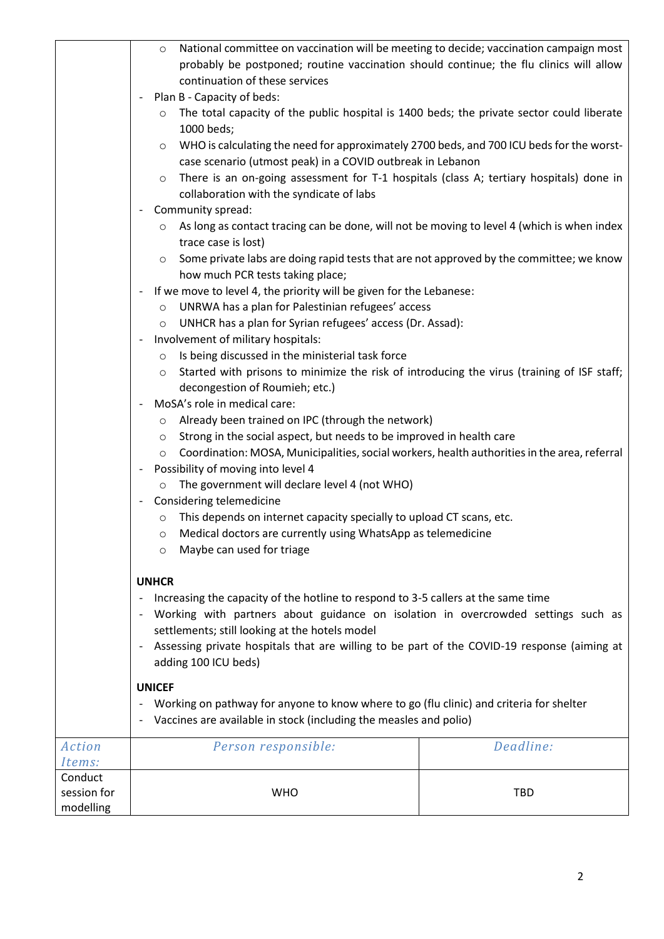|             | National committee on vaccination will be meeting to decide; vaccination campaign most<br>$\circ$       |                                                                                            |            |  |
|-------------|---------------------------------------------------------------------------------------------------------|--------------------------------------------------------------------------------------------|------------|--|
|             | probably be postponed; routine vaccination should continue; the flu clinics will allow                  |                                                                                            |            |  |
|             | continuation of these services                                                                          |                                                                                            |            |  |
|             |                                                                                                         | Plan B - Capacity of beds:                                                                 |            |  |
|             | $\circ$                                                                                                 | The total capacity of the public hospital is 1400 beds; the private sector could liberate  |            |  |
|             |                                                                                                         | 1000 beds;                                                                                 |            |  |
|             | WHO is calculating the need for approximately 2700 beds, and 700 ICU beds for the worst-<br>$\circ$     |                                                                                            |            |  |
|             | case scenario (utmost peak) in a COVID outbreak in Lebanon                                              |                                                                                            |            |  |
|             | $\circ$                                                                                                 | There is an on-going assessment for T-1 hospitals (class A; tertiary hospitals) done in    |            |  |
|             |                                                                                                         | collaboration with the syndicate of labs                                                   |            |  |
|             |                                                                                                         | Community spread:                                                                          |            |  |
|             | $\circ$                                                                                                 | As long as contact tracing can be done, will not be moving to level 4 (which is when index |            |  |
|             |                                                                                                         | trace case is lost)                                                                        |            |  |
|             | $\circ$                                                                                                 | Some private labs are doing rapid tests that are not approved by the committee; we know    |            |  |
|             |                                                                                                         | how much PCR tests taking place;                                                           |            |  |
|             |                                                                                                         | If we move to level 4, the priority will be given for the Lebanese:                        |            |  |
|             | $\circ$                                                                                                 | UNRWA has a plan for Palestinian refugees' access                                          |            |  |
|             | $\circ$                                                                                                 | UNHCR has a plan for Syrian refugees' access (Dr. Assad):                                  |            |  |
|             |                                                                                                         | Involvement of military hospitals:                                                         |            |  |
|             | $\circ$                                                                                                 | Is being discussed in the ministerial task force                                           |            |  |
|             | $\circ$                                                                                                 | Started with prisons to minimize the risk of introducing the virus (training of ISF staff; |            |  |
|             |                                                                                                         | decongestion of Roumieh; etc.)                                                             |            |  |
|             |                                                                                                         | MoSA's role in medical care:                                                               |            |  |
|             | $\circ$                                                                                                 | Already been trained on IPC (through the network)                                          |            |  |
|             | Strong in the social aspect, but needs to be improved in health care<br>$\circ$                         |                                                                                            |            |  |
|             | Coordination: MOSA, Municipalities, social workers, health authorities in the area, referral<br>$\circ$ |                                                                                            |            |  |
|             | Possibility of moving into level 4                                                                      |                                                                                            |            |  |
|             | The government will declare level 4 (not WHO)                                                           |                                                                                            |            |  |
|             | Considering telemedicine                                                                                |                                                                                            |            |  |
|             | This depends on internet capacity specially to upload CT scans, etc.<br>$\circ$                         |                                                                                            |            |  |
|             | Medical doctors are currently using WhatsApp as telemedicine<br>$\circ$                                 |                                                                                            |            |  |
|             | Maybe can used for triage<br>$\circ$                                                                    |                                                                                            |            |  |
|             |                                                                                                         |                                                                                            |            |  |
|             | <b>UNHCR</b>                                                                                            |                                                                                            |            |  |
|             | Increasing the capacity of the hotline to respond to 3-5 callers at the same time                       |                                                                                            |            |  |
|             | Working with partners about guidance on isolation in overcrowded settings such as                       |                                                                                            |            |  |
|             | settlements; still looking at the hotels model                                                          |                                                                                            |            |  |
|             | Assessing private hospitals that are willing to be part of the COVID-19 response (aiming at             |                                                                                            |            |  |
|             | adding 100 ICU beds)                                                                                    |                                                                                            |            |  |
|             | <b>UNICEF</b>                                                                                           |                                                                                            |            |  |
|             | Working on pathway for anyone to know where to go (flu clinic) and criteria for shelter                 |                                                                                            |            |  |
|             | Vaccines are available in stock (including the measles and polio)                                       |                                                                                            |            |  |
| Action      | Deadline:<br>Person responsible:                                                                        |                                                                                            |            |  |
| Items:      |                                                                                                         |                                                                                            |            |  |
| Conduct     |                                                                                                         |                                                                                            |            |  |
| session for |                                                                                                         | <b>WHO</b>                                                                                 | <b>TBD</b> |  |
| modelling   |                                                                                                         |                                                                                            |            |  |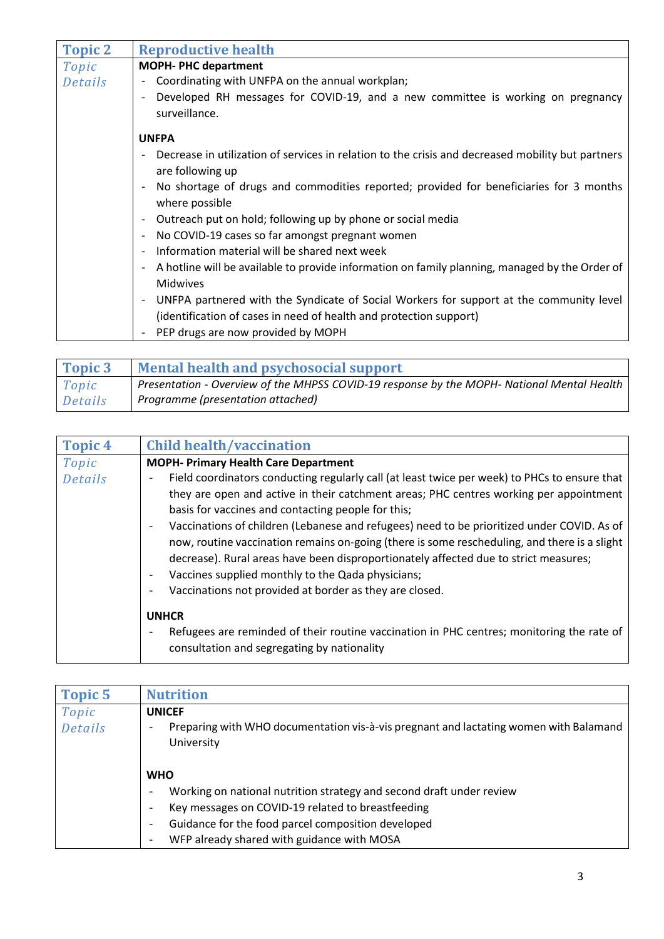| <b>Topic 2</b> | <b>Reproductive health</b>                                                                                                             |  |  |  |
|----------------|----------------------------------------------------------------------------------------------------------------------------------------|--|--|--|
| Topic          | <b>MOPH-PHC department</b>                                                                                                             |  |  |  |
| Details        | Coordinating with UNFPA on the annual workplan;<br>$\overline{\phantom{0}}$                                                            |  |  |  |
|                | Developed RH messages for COVID-19, and a new committee is working on pregnancy<br>surveillance.                                       |  |  |  |
| <b>UNFPA</b>   |                                                                                                                                        |  |  |  |
|                | Decrease in utilization of services in relation to the crisis and decreased mobility but partners<br>are following up                  |  |  |  |
|                | No shortage of drugs and commodities reported; provided for beneficiaries for 3 months<br>where possible                               |  |  |  |
|                | Outreach put on hold; following up by phone or social media<br>$\overline{\phantom{a}}$                                                |  |  |  |
|                | No COVID-19 cases so far amongst pregnant women<br>$\overline{\phantom{a}}$                                                            |  |  |  |
|                | Information material will be shared next week<br>$\overline{\phantom{a}}$                                                              |  |  |  |
|                | A hotline will be available to provide information on family planning, managed by the Order of<br>$\overline{\phantom{a}}$<br>Midwives |  |  |  |
|                | UNFPA partnered with the Syndicate of Social Workers for support at the community level<br>$\overline{\phantom{a}}$                    |  |  |  |
|                | (identification of cases in need of health and protection support)                                                                     |  |  |  |
|                | PEP drugs are now provided by MOPH                                                                                                     |  |  |  |

| Topic 3 | <b>Mental health and psychosocial support</b>                                              |
|---------|--------------------------------------------------------------------------------------------|
| Topic   | Presentation - Overview of the MHPSS COVID-19 response by the MOPH- National Mental Health |
| Details | Programme (presentation attached)                                                          |

| <b>Topic 4</b> | <b>Child health/vaccination</b>                                                                                                                                                                                                                                                                                                                                                                                                                                                                                                                                                                                                                                                                                                                                     |  |  |  |
|----------------|---------------------------------------------------------------------------------------------------------------------------------------------------------------------------------------------------------------------------------------------------------------------------------------------------------------------------------------------------------------------------------------------------------------------------------------------------------------------------------------------------------------------------------------------------------------------------------------------------------------------------------------------------------------------------------------------------------------------------------------------------------------------|--|--|--|
| Topic          | <b>MOPH- Primary Health Care Department</b>                                                                                                                                                                                                                                                                                                                                                                                                                                                                                                                                                                                                                                                                                                                         |  |  |  |
| <b>Details</b> | Field coordinators conducting regularly call (at least twice per week) to PHCs to ensure that<br>$\overline{\phantom{a}}$<br>they are open and active in their catchment areas; PHC centres working per appointment<br>basis for vaccines and contacting people for this;<br>Vaccinations of children (Lebanese and refugees) need to be prioritized under COVID. As of<br>$\overline{\phantom{0}}$<br>now, routine vaccination remains on-going (there is some rescheduling, and there is a slight<br>decrease). Rural areas have been disproportionately affected due to strict measures;<br>Vaccines supplied monthly to the Qada physicians;<br>$\overline{\phantom{0}}$<br>Vaccinations not provided at border as they are closed.<br>$\overline{\phantom{a}}$ |  |  |  |
|                | <b>UNHCR</b><br>Refugees are reminded of their routine vaccination in PHC centres; monitoring the rate of<br>$\overline{\phantom{a}}$<br>consultation and segregating by nationality                                                                                                                                                                                                                                                                                                                                                                                                                                                                                                                                                                                |  |  |  |

| <b>Topic 5</b>                                                                                                                             | <b>Nutrition</b>                                                                                 |  |  |  |
|--------------------------------------------------------------------------------------------------------------------------------------------|--------------------------------------------------------------------------------------------------|--|--|--|
| Topic                                                                                                                                      | <b>UNICEF</b>                                                                                    |  |  |  |
| Details<br>Preparing with WHO documentation vis-à-vis pregnant and lactating women with Balamand<br>$\overline{\phantom{a}}$<br>University |                                                                                                  |  |  |  |
|                                                                                                                                            | <b>WHO</b>                                                                                       |  |  |  |
|                                                                                                                                            | Working on national nutrition strategy and second draft under review<br>$\overline{\phantom{a}}$ |  |  |  |
|                                                                                                                                            | Key messages on COVID-19 related to breastfeeding<br>$\overline{\phantom{a}}$                    |  |  |  |
|                                                                                                                                            | Guidance for the food parcel composition developed<br>$\overline{\phantom{a}}$                   |  |  |  |
|                                                                                                                                            | WFP already shared with guidance with MOSA                                                       |  |  |  |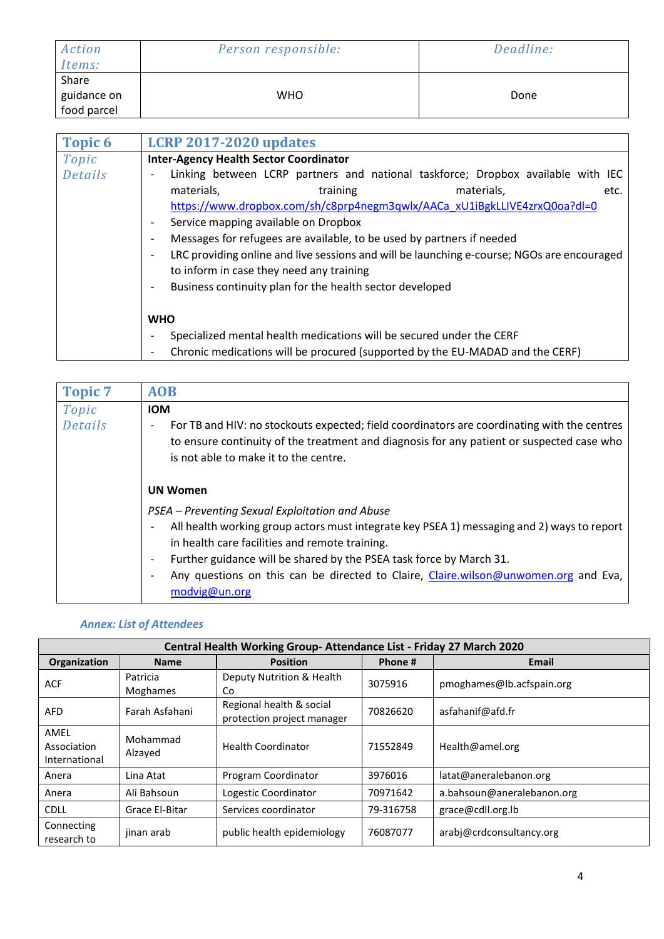| Action<br>Items:                    | Person responsible: | Deadline: |
|-------------------------------------|---------------------|-----------|
| Share<br>guidance on<br>food parcel | <b>WHO</b>          | Done      |

| <b>Topic 6</b>   | <b>LCRP 2017-2020 updates</b>                                                                                                                                                                                                                                                                                                                                                                                                                                                                                                                                                         |  |  |  |  |  |
|------------------|---------------------------------------------------------------------------------------------------------------------------------------------------------------------------------------------------------------------------------------------------------------------------------------------------------------------------------------------------------------------------------------------------------------------------------------------------------------------------------------------------------------------------------------------------------------------------------------|--|--|--|--|--|
| Topic<br>Details | <b>Inter-Agency Health Sector Coordinator</b><br>Linking between LCRP partners and national taskforce; Dropbox available with IEC<br>materials,<br>training<br>materials,<br>etc.<br>https://www.dropbox.com/sh/c8prp4negm3qwlx/AACa_xU1iBgkLLIVE4zrxQ0oa?dl=0<br>Service mapping available on Dropbox<br>Messages for refugees are available, to be used by partners if needed<br>LRC providing online and live sessions and will be launching e-course; NGOs are encouraged<br>to inform in case they need any training<br>Business continuity plan for the health sector developed |  |  |  |  |  |
|                  | <b>WHO</b><br>Specialized mental health medications will be secured under the CERF<br>Chronic medications will be procured (supported by the EU-MADAD and the CERF)<br>$\overline{\phantom{a}}$                                                                                                                                                                                                                                                                                                                                                                                       |  |  |  |  |  |

| <b>Topic 7</b> | <b>AOB</b>                                                                                                                                                                                                                                                    |  |  |  |  |
|----------------|---------------------------------------------------------------------------------------------------------------------------------------------------------------------------------------------------------------------------------------------------------------|--|--|--|--|
| Topic          | <b>IOM</b>                                                                                                                                                                                                                                                    |  |  |  |  |
| Details        | For TB and HIV: no stockouts expected; field coordinators are coordinating with the centres<br>$\overline{\phantom{0}}$<br>to ensure continuity of the treatment and diagnosis for any patient or suspected case who<br>is not able to make it to the centre. |  |  |  |  |
|                | <b>UN Women</b>                                                                                                                                                                                                                                               |  |  |  |  |
|                | PSEA – Preventing Sexual Exploitation and Abuse                                                                                                                                                                                                               |  |  |  |  |
|                | All health working group actors must integrate key PSEA 1) messaging and 2) ways to report<br>$\overline{\phantom{a}}$<br>in health care facilities and remote training.                                                                                      |  |  |  |  |
|                | Further guidance will be shared by the PSEA task force by March 31.<br>$\overline{\phantom{a}}$                                                                                                                                                               |  |  |  |  |
|                | Any questions on this can be directed to Claire, Claire.wilson@unwomen.org and Eva,<br>modvig@un.org                                                                                                                                                          |  |  |  |  |

## *Annex: List of Attendees*

| Central Health Working Group-Attendance List - Friday 27 March 2020 |                             |                                                        |           |                            |
|---------------------------------------------------------------------|-----------------------------|--------------------------------------------------------|-----------|----------------------------|
| Organization                                                        | <b>Name</b>                 | <b>Position</b>                                        | Phone #   | Email                      |
| <b>ACF</b>                                                          | Patricia<br><b>Moghames</b> | Deputy Nutrition & Health<br>Co                        | 3075916   | pmoghames@lb.acfspain.org  |
| <b>AFD</b>                                                          | Farah Asfahani              | Regional health & social<br>protection project manager | 70826620  | asfahanif@afd.fr           |
| AMEL<br>Association<br>International                                | Mohammad<br>Alzayed         | <b>Health Coordinator</b>                              | 71552849  | Health@amel.org            |
| Anera                                                               | Lina Atat                   | Program Coordinator                                    | 3976016   | latat@aneralebanon.org     |
| Anera                                                               | Ali Bahsoun                 | Logestic Coordinator                                   | 70971642  | a.bahsoun@aneralebanon.org |
| <b>CDLL</b>                                                         | Grace El-Bitar              | Services coordinator                                   | 79-316758 | grace@cdll.org.lb          |
| Connecting<br>research to                                           | jinan arab                  | public health epidemiology                             | 76087077  | arabj@crdconsultancy.org   |